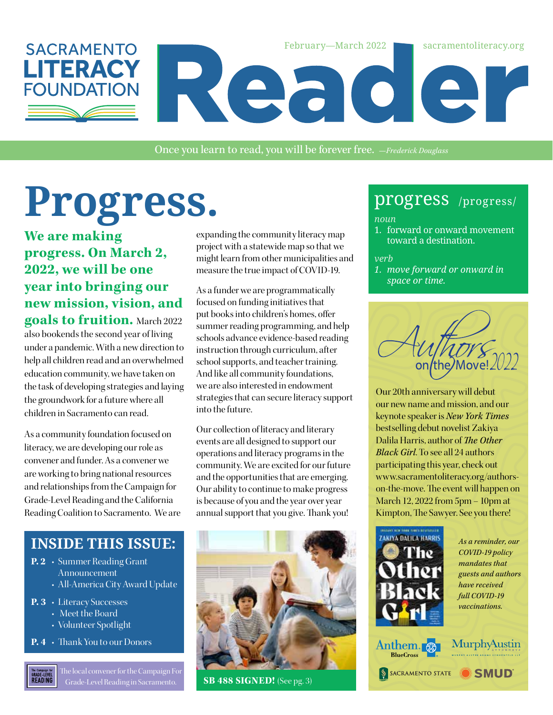

Once you learn to read, you will be forever free. *—Frederick Douglass*

# Progress. progress /progress/

**We are making progress. On March 2, 2022, we will be one year into bringing our new mission, vision, and goals to fruition.** March 2022 also bookends the second year of living under a pandemic. With a new direction to

help all children read and an overwhelmed education community, we have taken on the task of developing strategies and laying the groundwork for a future where all children in Sacramento can read.

As a community foundation focused on literacy, we are developing our role as convener and funder. As a convener we are working to bring national resources and relationships from the Campaign for Grade-Level Reading and the California Reading Coalition to Sacramento. We are

### **INSIDE THIS ISSUE:**

- **P. 2** Summer Reading Grant Announcement
	- All-America City Award Update
- **P. 3** Literacy Successes
	- Meet the Board
	- Volunteer Spotlight
- **P. 4** Thank You to our Donors

The local convener for the Campaign For The Campaign for<br>GRADE-LEVEL<br>READING Grade-Level Reading in Sacramento. **SB 488 SIGNED!** (See pg. 3)

expanding the community literacy map project with a statewide map so that we might learn from other municipalities and measure the true impact of COVID-19.

As a funder we are programmatically focused on funding initiatives that put books into children's homes, offer summer reading programming, and help schools advance evidence-based reading instruction through curriculum, after school supports, and teacher training. And like all community foundations, we are also interested in endowment strategies that can secure literacy support into the future.

Our collection of literacy and literary events are all designed to support our operations and literacy programs in the community. We are excited for our future and the opportunities that are emerging. Our ability to continue to make progress is because of you and the year over year annual support that you give. Thank you!



*noun*

1. forward or onward movement toward a destination.

#### *verb*

*1. move forward or onward in space or time.*



Our 20th anniversary will debut our new name and mission, and our keynote speaker is *New York Times* bestselling debut novelist Zakiya Dalila Harris, author of *The Other Black Girl*. To see all 24 authors participating this year, check out www.sacramentoliteracy.org/authorson-the-move. The event will happen on March 12, 2022 from 5pm – 10pm at Kimpton, The Sawyer. See you there!



*As a reminder, our COVID-19 policy mandates that guests and authors have received full COVID-19 vaccinations.*



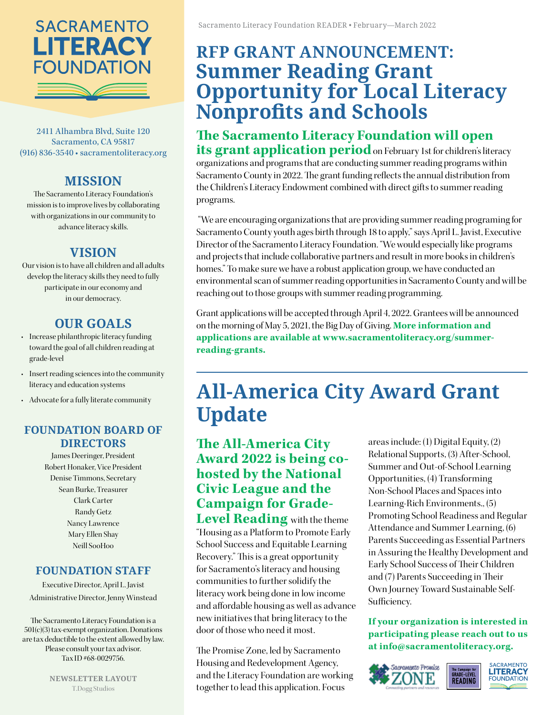

2411 Alhambra Blvd, Suite 120 Sacramento, CA 95817 (916) 836-3540 • [sacramentoliteracy.org](http://www.sacramentoliteracy.org)

### **MISSION**

The Sacramento Literacy Foundation's mission is to improve lives by collaborating with organizations in our community to advance literacy skills.

### **VISION**

Our vision is to have all children and all adults develop the literacy skills they need to fully participate in our economy and in our democracy.

### **OUR GOALS**

- Increase philanthropic literacy funding toward the goal of all children reading at grade-level
- Insert reading sciences into the community literacy and education systems
- Advocate for a fully literate community

### **FOUNDATION BOARD OF DIRECTORS**

James Deeringer, President Robert Honaker, Vice President Denise Timmons, Secretary Sean Burke, Treasurer Clark Carter Randy Getz Nancy Lawrence Mary Ellen Shay Neill SooHoo

### **FOUNDATION STAFF**

Executive Director, April L. Javist Administrative Director, Jenny Winstead

The Sacramento Literacy Foundation is a 501(c)(3) tax-exempt organization. Donations are tax deductible to the extent allowed by law. Please consult your tax advisor. Tax ID #68-0029756.

> **NEWSLETTER LAYOUT** T.Dogg Studios

### **RFP GRANT ANNOUNCEMENT: Summer Reading Grant Opportunity for Local Literacy Nonprofits and Schools**

**The Sacramento Literacy Foundation will open its grant application period** on February 1st for children's literacy organizations and programs that are conducting summer reading programs within Sacramento County in 2022. The grant funding reflects the annual distribution from the Children's Literacy Endowment combined with direct gifts to summer reading programs.

 "We are encouraging organizations that are providing summer reading programing for Sacramento County youth ages birth through 18 to apply," says April L. Javist, Executive Director of the Sacramento Literacy Foundation. "We would especially like programs and projects that include collaborative partners and result in more books in children's homes." To make sure we have a robust application group, we have conducted an environmental scan of summer reading opportunities in Sacramento County and will be reaching out to those groups with summer reading programming.

Grant applications will be accepted through April 4, 2022. Grantees will be announced on the morning of May 5, 2021, the Big Day of Giving. **More information and applications are available at www.sacramentoliteracy.org/summerreading-grants.**

### **All-America City Award Grant Update**

### **The All-America City Award 2022 is being cohosted by the National Civic League and the Campaign for Grade-**

**Level Reading** with the theme "Housing as a Platform to Promote Early School Success and Equitable Learning Recovery." This is a great opportunity for Sacramento's literacy and housing communities to further solidify the literacy work being done in low income and affordable housing as well as advance new initiatives that bring literacy to the door of those who need it most.

The Promise Zone, led by Sacramento Housing and Redevelopment Agency, and the Literacy Foundation are working together to lead this application. Focus

areas include: (1) Digital Equity, (2) Relational Supports, (3) After-School, Summer and Out-of-School Learning Opportunities, (4) Transforming Non-School Places and Spaces into Learning-Rich Environments., (5) Promoting School Readiness and Regular Attendance and Summer Learning, (6) Parents Succeeding as Essential Partners in Assuring the Healthy Development and Early School Success of Their Children and (7) Parents Succeeding in Their Own Journey Toward Sustainable Self-Sufficiency.

### **If your organization is interested in participating please reach out to us at info@sacramentoliteracy.org.**

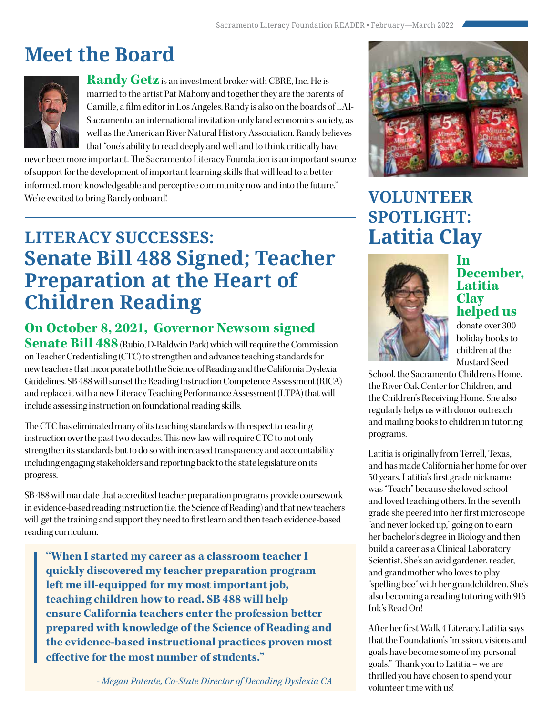## **Meet the Board**



**Randy Getz** is an investment broker with CBRE, Inc. He is married to the artist Pat Mahony and together they are the parents of Camille, a film editor in Los Angeles. Randy is also on the boards of LAI-Sacramento, an international invitation-only land economics society, as well as the American River Natural History Association. Randy believes that "one's ability to read deeply and well and to think critically have

never been more important. The Sacramento Literacy Foundation is an important source of support for the development of important learning skills that will lead to a better informed, more knowledgeable and perceptive community now and into the future." We're excited to bring Randy onboard!

### **LITERACY SUCCESSES: Senate Bill 488 Signed; Teacher Preparation at the Heart of Children Reading**

### **On October 8, 2021, Governor Newsom signed**

**Senate Bill 488** (Rubio, D-Baldwin Park) which will require the Commission on Teacher Credentialing (CTC) to strengthen and advance teaching standards for new teachers that incorporate both the Science of Reading and the California Dyslexia Guidelines. SB 488 will sunset the Reading Instruction Competence Assessment (RICA) and replace it with a new Literacy Teaching Performance Assessment (LTPA) that will include assessing instruction on foundational reading skills.

The CTC has eliminated many of its teaching standards with respect to reading instruction over the past two decades. This new law will require CTC to not only strengthen its standards but to do so with increased transparency and accountability including engaging stakeholders and reporting back to the state legislature on its progress.

SB 488 will mandate that accredited teacher preparation programs provide coursework in evidence-based reading instruction (i.e. the Science of Reading) and that new teachers will get the training and support they need to first learn and then teach evidence-based reading curriculum.

**"When I started my career as a classroom teacher I quickly discovered my teacher preparation program left me ill-equipped for my most important job, teaching children how to read. SB 488 will help ensure California teachers enter the profession better prepared with knowledge of the Science of Reading and the evidence-based instructional practices proven most effective for the most number of students."** 



### **VOLUNTEER SPOTLIGHT: Latitia Clay**



### **In December, Latitia Clay helped us**

donate over 300 holiday books to children at the Mustard Seed

School, the Sacramento Children's Home, the River Oak Center for Children, and the Children's Receiving Home. She also regularly helps us with donor outreach and mailing books to children in tutoring programs.

Latitia is originally from Terrell, Texas, and has made California her home for over 50 years. Latitia's first grade nickname was "Teach" because she loved school and loved teaching others. In the seventh grade she peered into her first microscope "and never looked up," going on to earn her bachelor's degree in Biology and then build a career as a Clinical Laboratory Scientist. She's an avid gardener, reader, and grandmother who loves to play "spelling bee" with her grandchildren. She's also becoming a reading tutoring with 916 Ink's Read On!

After her first Walk 4 Literacy, Latitia says that the Foundation's "mission, visions and goals have become some of my personal goals." Thank you to Latitia – we are thrilled you have chosen to spend your volunteer time with us!